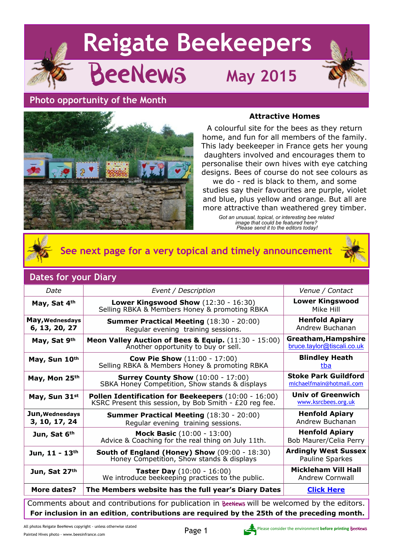

## **Photo opportunity of the Month**

## **Attractive Homes**



A colourful site for the bees as they return home, and fun for all members of the family. This lady beekeeper in France gets her young daughters involved and encourages them to personalise their own hives with eye catching designs. Bees of course do not see colours as

we do - red is black to them, and some studies say their favourites are purple, violet and blue, plus yellow and orange. But all are more attractive than weathered grey timber.

> *Got an unusual, topical, or interesting bee related image that could be featured here? Please send it to the editors today!*



**See next page for a very topical and timely announcement**

## **Dates for your Diary**

| Date                                                                                         | Event / Description                                                                                            | Venue / Contact                                         |  |
|----------------------------------------------------------------------------------------------|----------------------------------------------------------------------------------------------------------------|---------------------------------------------------------|--|
| May, Sat 4th                                                                                 | Lower Kingswood Show (12:30 - 16:30)<br>Selling RBKA & Members Honey & promoting RBKA                          | <b>Lower Kingswood</b><br>Mike Hill                     |  |
| May, Wednesdays<br>6, 13, 20, 27                                                             | <b>Summer Practical Meeting (18:30 - 20:00)</b><br>Regular evening training sessions.                          | <b>Henfold Apiary</b><br>Andrew Buchanan                |  |
| May, Sat 9th                                                                                 | Meon Valley Auction of Bees & Equip. (11:30 - 15:00)<br>Another opportunity to buy or sell.                    | Greatham, Hampshire<br>bruce.taylor@tiscali.co.uk       |  |
| May, Sun 10th                                                                                | <b>Cow Pie Show (11:00 - 17:00)</b><br>Selling RBKA & Members Honey & promoting RBKA                           | <b>Blindley Heath</b><br>tba                            |  |
| May, Mon 25th                                                                                | <b>Surrey County Show</b> (10:00 - 17:00)<br>SBKA Honey Competition, Show stands & displays                    | <b>Stoke Park Guildford</b><br>michaelfmain@hotmail.com |  |
| May, Sun 31st                                                                                | Pollen Identification for Beekeepers (10:00 - 16:00)<br>KSRC Present this session, by Bob Smith - £20 reg fee. | <b>Univ of Greenwich</b><br>www.ksrcbees.org.uk         |  |
| Jun, Wednesdays<br>3, 10, 17, 24                                                             | <b>Summer Practical Meeting (18:30 - 20:00)</b><br>Regular evening training sessions.                          | <b>Henfold Apiary</b><br>Andrew Buchanan                |  |
| Jun, Sat 6th                                                                                 | Mock Basic (10:00 - 13:00)<br>Advice & Coaching for the real thing on July 11th.                               | <b>Henfold Apiary</b><br>Bob Maurer/Celia Perry         |  |
| Jun, 11 - 13th                                                                               | <b>South of England (Honey) Show</b> (09:00 - 18:30)<br>Honey Competition, Show stands & displays              | <b>Ardingly West Sussex</b><br>Pauline Sparkes          |  |
| Jun, Sat 27th                                                                                | <b>Taster Day</b> (10:00 - 16:00)<br>We introduce beekeeping practices to the public.                          | <b>Mickleham Vill Hall</b><br><b>Andrew Cornwall</b>    |  |
| More dates?                                                                                  | The Members website has the full year's Diary Dates                                                            | <b>Click Here</b>                                       |  |
| Comments about and contributions for publication in BeeNews will be welcomed by the editors. |                                                                                                                |                                                         |  |

Comments about and contributions for publication in BeeNews will be welcomed by the editors. **For inclusion in an edition**, **contributions are required by the 25th of the preceding month.**

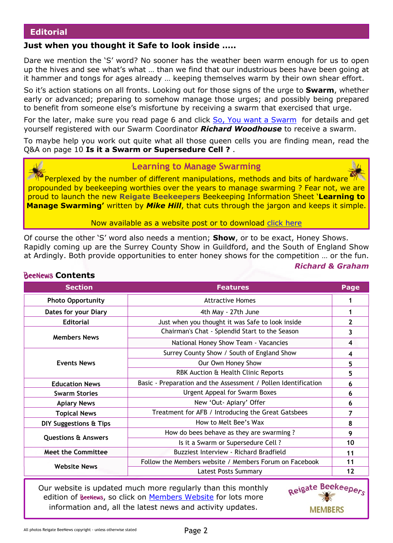## **Editorial**

## **Just when you thought it Safe to look inside …..**

Dare we mention the 'S' word? No sooner has the weather been warm enough for us to open up the hives and see what's what … than we find that our industrious bees have been going at it hammer and tongs for ages already … keeping themselves warm by their own shear effort.

So it's action stations on all fronts. Looking out for those signs of the urge to **Swarm**, whether early or advanced; preparing to somehow manage those urges; and possibly being prepared to benefit from someone else's misfortune by receiving a swarm that exercised that urge.

For the later, make sure you read page 6 and click [So, You want a Swarm](http://rbkbblog.com/2015/04/23/so-you-want-a-swarm/) for details and get yourself registered with our Swarm Coordinator *Richard Woodhouse* to receive a swarm.

To maybe help you work out quite what all those queen cells you are finding mean, read the Q&A on page 10 **Is it a Swarm or Supersedure Cell ?** .



Perplexed by the number of different manipulations, methods and bits of hardware propounded by beekeeping worthies over the years to manage swarming ? Fear not, we are proud to launch the new **Reigate Beekeepers** Beekeeping Information Sheet '**Learning to Manage Swarming'** written by *Mike Hill*, that cuts through the jargon and keeps it simple.

Now available as a website post or to download [click here](https://rbkbblog.files.wordpress.com/2015/04/beekeeping-information-sheet-1-learning-to-manage-swarming2.pdf)

Of course the other 'S' word also needs a mention; **Show**, or to be exact, Honey Shows. Rapidly coming up are the Surrey County Show in Guildford, and the South of England Show at Ardingly. Both provide opportunities to enter honey shows for the competition … or the fun. *Richard & Graham*

| <b>Section</b>                 | <b>Features</b>                                                | Page |
|--------------------------------|----------------------------------------------------------------|------|
| <b>Photo Opportunity</b>       | <b>Attractive Homes</b>                                        |      |
| Dates for your Diary           | 4th May - 27th June                                            |      |
| <b>Editorial</b>               | Just when you thought it was Safe to look inside               |      |
| <b>Members News</b>            | Chairman's Chat - Splendid Start to the Season                 |      |
|                                | National Honey Show Team - Vacancies                           |      |
|                                | Surrey County Show / South of England Show                     | 4    |
| <b>Events News</b>             | Our Own Honey Show                                             |      |
|                                | RBK Auction & Health Clinic Reports                            | 5    |
| <b>Education News</b>          | Basic - Preparation and the Assessment / Pollen Identification | 6    |
| <b>Swarm Stories</b>           | Urgent Appeal for Swarm Boxes                                  | 6    |
| <b>Apiary News</b>             | New 'Out- Apiary' Offer                                        | 6    |
| <b>Topical News</b>            | Treatment for AFB / Introducing the Great Gatsbees             | 7    |
| DIY Suggestions & Tips         | How to Melt Bee's Wax                                          | 8    |
|                                | How do bees behave as they are swarming?                       | 9    |
| <b>Questions &amp; Answers</b> | Is it a Swarm or Supersedure Cell ?                            | 10   |
| <b>Meet the Committee</b>      | Buzziest Interview - Richard Bradfield                         | 11   |
| <b>Website News</b>            | Follow the Members website / Members Forum on Facebook         | 11   |
|                                | <b>Latest Posts Summary</b>                                    | 12   |

**ReeNews Contents** 

Our website is updated much more regularly than this monthly edition of BeeNews, so click on [Members Website](http://rbkbblog.com) for lots more information and, all the latest news and activity updates.

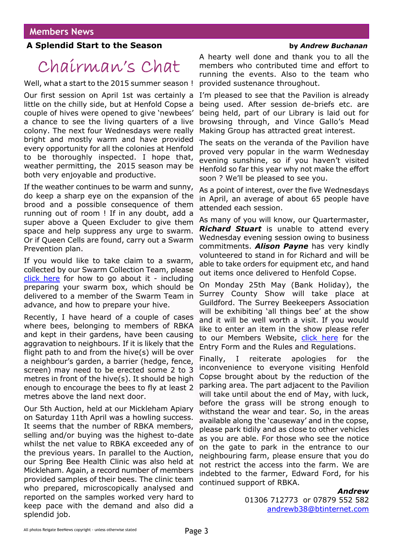## **A Splendid Start to the Season by** *Andrew Buchanan*

# Chairman's Chat

Well, what a start to the 2015 summer season !

Our first session on April 1st was certainly a little on the chilly side, but at Henfold Copse a couple of hives were opened to give 'newbees' a chance to see the living quarters of a live colony. The next four Wednesdays were really bright and mostly warm and have provided every opportunity for all the colonies at Henfold to be thoroughly inspected. I hope that, weather permitting, the 2015 season may be both very enjoyable and productive.

If the weather continues to be warm and sunny, do keep a sharp eye on the expansion of the brood and a possible consequence of them running out of room ! If in any doubt, add a super above a Queen Excluder to give them space and help suppress any urge to swarm. Or if Queen Cells are found, carry out a Swarm Prevention plan.

If you would like to take claim to a swarm, collected by our Swarm Collection Team, please [click here](http://rbkbblog.com/2015/04/23/so-you-want-a-swarm/) for how to go about it - including preparing your swarm box, which should be delivered to a member of the Swarm Team in advance, and how to prepare your hive.

Recently, I have heard of a couple of cases where bees, belonging to members of RBKA and kept in their gardens, have been causing aggravation to neighbours. If it is likely that the flight path to and from the hive(s) will be over a neighbour's garden, a barrier (hedge, fence, screen) may need to be erected some 2 to 3 metres in front of the hive(s). It should be high enough to encourage the bees to fly at least 2 metres above the land next door.

Our 5th Auction, held at our Mickleham Apiary on Saturday 11th April was a howling success. It seems that the number of RBKA members, selling and/or buying was the highest to-date whilst the net value to RBKA exceeded any of the previous years. In parallel to the Auction, our Spring Bee Health Clinic was also held at Mickleham. Again, a record number of members provided samples of their bees. The clinic team who prepared, microscopically analysed and reported on the samples worked very hard to keep pace with the demand and also did a splendid job.

A hearty well done and thank you to all the members who contributed time and effort to running the events. Also to the team who provided sustenance throughout.

I'm pleased to see that the Pavilion is already being used. After session de-briefs etc. are being held, part of our Library is laid out for browsing through, and Vince Gallo's Mead Making Group has attracted great interest.

The seats on the veranda of the Pavilion have proved very popular in the warm Wednesday evening sunshine, so if you haven't visited Henfold so far this year why not make the effort soon ? We'll be pleased to see you.

As a point of interest, over the five Wednesdays in April, an average of about 65 people have attended each session.

As many of you will know, our Quartermaster, *Richard Stuart* is unable to attend every Wednesday evening session owing to business commitments. *Alison Payne* has very kindly volunteered to stand in for Richard and will be able to take orders for equipment etc, and hand out items once delivered to Henfold Copse.

On Monday 25th May (Bank Holiday), the Surrey County Show will take place at Guildford. The Surrey Beekeepers Association will be exhibiting 'all things bee' at the show and it will be well worth a visit. If you would like to enter an item in the show please refer to our Members Website, [click here](http://rbkbblog.com/2015/04/24/surrey-county-honey-show-25th-may/) for the Entry Form and the Rules and Regulations.

Finally, I reiterate apologies for the inconvenience to everyone visiting Henfold Copse brought about by the reduction of the parking area. The part adjacent to the Pavilion will take until about the end of May, with luck, before the grass will be strong enough to withstand the wear and tear. So, in the areas available along the 'causeway' and in the copse, please park tidily and as close to other vehicles as you are able. For those who see the notice on the gate to park in the entrance to our neighbouring farm, please ensure that you do not restrict the access into the farm. We are indebted to the farmer, Edward Ford, for his continued support of RBKA.

### *Andrew*

01306 712773 or 07879 552 582 [andrewb38@btinternet.com](mailto:andrewb38@btinternet.com)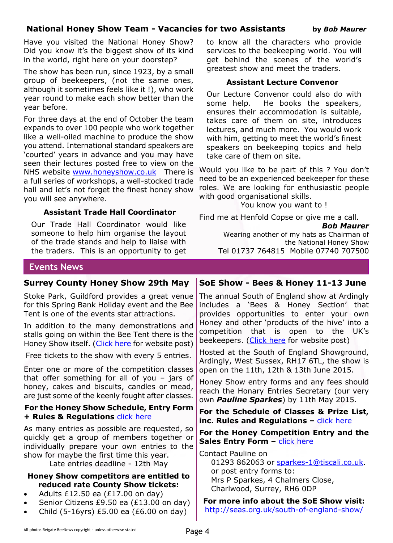## **National Honey Show Team - Vacancies for two Assistants by** *Bob Maurer*

Have you visited the National Honey Show? Did you know it's the biggest show of its kind in the world, right here on your doorstep?

The show has been run, since 1923, by a small group of beekeepers, (not the same ones, although it sometimes feels like it !), who work year round to make each show better than the year before.

For three days at the end of October the team expands to over 100 people who work together like a well-oiled machine to produce the show you attend. International standard speakers are 'courted' years in advance and you may have seen their lectures posted free to view on the NHS website [www.honeyshow.co.uk](http://honeyshow.co.uk) There is a full series of workshops, a well-stocked trade hall and let's not forget the finest honey show you will see anywhere.

## **Assistant Trade Hall Coordinator**

Our Trade Hall Coordinator would like someone to help him organise the layout of the trade stands and help to liaise with the traders. This is an opportunity to get

## to know all the characters who provide services to the beekeeping world. You will get behind the scenes of the world's greatest show and meet the traders.

## **Assistant Lecture Convenor**

Our Lecture Convenor could also do with some help. He books the speakers, ensures their accommodation is suitable, takes care of them on site, introduces lectures, and much more. You would work with him, getting to meet the world's finest speakers on beekeeping topics and help take care of them on site.

Would you like to be part of this ? You don't need to be an experienced beekeeper for these roles. We are looking for enthusiastic people with good organisational skills.

You know you want to !

Find me at Henfold Copse or give me a call.

*Bob Maurer*

Wearing another of my hats as Chairman of the National Honey Show Tel 01737 764815 Mobile 07740 707500

## **Events News**

## **Surrey County Honey Show 29th May**

Stoke Park, Guildford provides a great venue for this Spring Bank Holiday event and the Bee Tent is one of the events star attractions.

In addition to the many demonstrations and stalls going on within the Bee Tent there is the Honey Show itself. [\(Click here](http://rbkbblog.com/2015/04/24/surrey-county-honey-show-25th-may/) for website post)

Free tickets to the show with every 5 entries.

Enter one or more of the competition classes that offer something for all of you – jars of honey, cakes and biscuits, candles or mead, are just some of the keenly fought after classes.

## **For the Honey Show Schedule, Entry Form + Rules & Regulations** [click here](https://rbkbblog.files.wordpress.com/2015/04/scs-honey-schedule-2015-1.pdf)

As many entries as possible are requested, so quickly get a group of members together or individually prepare your own entries to the show for maybe the first time this year.

Late entries deadline - 12th May

## **Honey Show competitors are entitled to reduced rate County Show tickets:**

- Adults £12.50 ea  $(E17.00 \text{ on day})$
- Senior Citizens £9.50 ea (£13.00 on day)
- · Child (5-16yrs) £5.00 ea (£6.00 on day)

## **SoE Show - Bees & Honey 11-13 June**

The annual South of England show at Ardingly includes a 'Bees & Honey Section' that provides opportunities to enter your own Honey and other 'products of the hive' into a competition that is open to the UK's beekeepers. [\(Click here](http://rbkbblog.com/2015/04/23/south-of-england-show-bees-honey-11-13th-june/) for website post)

Hosted at the South of England Showground, Ardingly, West Sussex, RH17 6TL, the show is open on the 11th, 12th & 13th June 2015.

Honey Show entry forms and any fees should reach the Honary Entries Secretary (our very own *Pauline Sparkes*) by 11th May 2015.

**For the Schedule of Classes & Prize List, inc. Rules and Regulations – click here** 

**For the Honey Competition Entry and the Sales Entry Form –** click here

Contact Pauline on 01293 862063 or sparkes-1@tiscali.co.uk. or post entry forms to: Mrs P Sparkes, 4 Chalmers Close, Charlwood, Surrey, RH6 0DP

**For more info about the SoE Show visit:** http://seas.org.uk/south-of-england-show/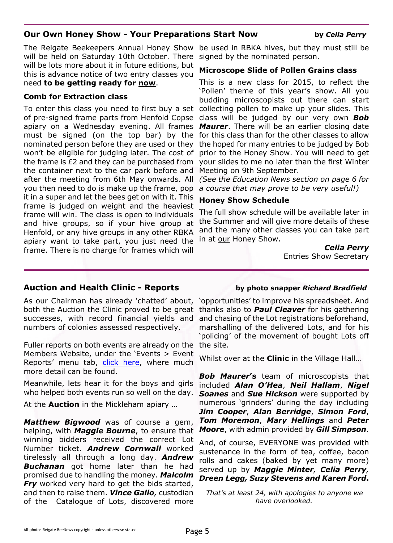## **Our Own Honey Show - Your Preparations Start Now by** *Celia Perry*

The Reigate Beekeepers Annual Honey Show will be held on Saturday 10th October. There will be lots more about it in future editions, but this is advance notice of two entry classes you need **to be getting ready for now**.

## **Comb for Extraction class**

To enter this class you need to first buy a set of pre-signed frame parts from Henfold Copse apiary on a Wednesday evening. All frames must be signed (on the top bar) by the nominated person before they are used or they won't be eligible for judging later. The cost of the frame is £2 and they can be purchased from the container next to the car park before and after the meeting from 6th May onwards. All you then need to do is make up the frame, pop it in a super and let the bees get on with it. This frame is judged on weight and the heaviest frame will win. The class is open to individuals and hive groups, so if your hive group at Henfold, or any hive groups in any other RBKA apiary want to take part, you just need the frame. There is no charge for frames which will

be used in RBKA hives, but they must still be signed by the nominated person.

### **Microscope Slide of Pollen Grains class**

This is a new class for 2015, to reflect the 'Pollen' theme of this year's show. All you budding microscopists out there can start collecting pollen to make up your slides. This class will be judged by our very own *Bob Maurer*. There will be an earlier closing date for this class than for the other classes to allow the hoped for many entries to be judged by Bob prior to the Honey Show. You will need to get your slides to me no later than the first Winter Meeting on 9th September.

*(See the Education News section on page 6 for a course that may prove to be very useful!)*

### **Honey Show Schedule**

The full show schedule will be available later in the Summer and will give more details of these and the many other classes you can take part in at our Honey Show.

> *Celia Perry* Entries Show Secretary

## **Auction and Health Clinic - Reports by photo snapper** *Richard Bradfield*

As our Chairman has already 'chatted' about, both the Auction the Clinic proved to be great successes, with record financial yields and numbers of colonies assessed respectively.

Fuller reports on both events are already on the Members Website, under the 'Events > Event Reports' menu tab, [click here](http://rbkbblog.com/category/event-reports/), where much more detail can be found.

Meanwhile, lets hear it for the boys and girls who helped both events run so well on the day.

At the **Auction** in the Mickleham apiary …

*Matthew Bigwood* was of course a gem, helping, with *Maggie Bourne*, to ensure that winning bidders received the correct Lot Number ticket. *Andrew Cornwall* worked tirelessly all through a long day. *Andrew Buchanan* got home later than he had promised due to handling the money. *Malcolm* **Fry** worked very hard to get the bids started, and then to raise them. *Vince Gallo,* custodian of the Catalogue of Lots, discovered more

'opportunities' to improve his spreadsheet. And thanks also to *Paul Cleaver* for his gathering and chasing of the Lot registrations beforehand, marshalling of the delivered Lots, and for his 'policing' of the movement of bought Lots off the site.

Whilst over at the **Clinic** in the Village Hall…

*Bob Maurer***'s** team of microscopists that included *Alan O'Hea*, *Neil Hallam*, *Nigel Soanes* and *Sue Hickson* were supported by numerous 'grinders' during the day including *Jim Cooper*, *Alan Berridge*, *Simon Ford*, *Tom Moremon*, *Mary Hellings* and *Peter Moore*, with admin provided by *Gill Simpson*.

And, of course, EVERYONE was provided with sustenance in the form of tea, coffee, bacon rolls and cakes (baked by yet many more) served up by *Maggie Minter, Celia Perry, Dreen Legg, Suzy Stevens and Karen Ford***.**

*That's at least 24, with apologies to anyone we have overlooked.*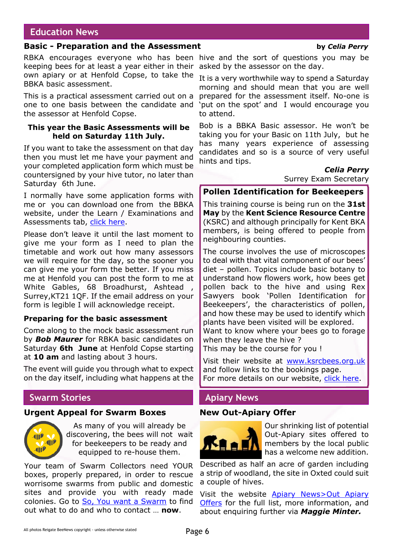## **Education News**

## **Basic - Preparation and the Assessment by** *Celia Perry*

keeping bees for at least a year either in their asked by the assessor on the day. own apiary or at Henfold Copse, to take the BBKA basic assessment.

This is a practical assessment carried out on a one to one basis between the candidate and the assessor at Henfold Copse.

### **This year the Basic Assessments will be held on Saturday 11th July.**

If you want to take the assessment on that day then you must let me have your payment and your completed application form which must be countersigned by your hive tutor, no later than Saturday 6th June.

I normally have some application forms with me or you can download one from the BBKA website, under the Learn / Examinations and Assessments tab, [click here](http://www.bbka.org.uk/learn/examinations__assessments).

Please don't leave it until the last moment to give me your form as I need to plan the timetable and work out how many assessors we will require for the day, so the sooner you can give me your form the better. If you miss me at Henfold you can post the form to me at White Gables, 68 Broadhurst, Ashtead Surrey,KT21 1QF. If the email address on your form is legible I will acknowledge receipt.

### **Preparing for the basic assessment**

Come along to the mock basic assessment run by *Bob Maurer* for RBKA basic candidates on Saturday **6th June** at Henfold Copse starting at **10 am** and lasting about 3 hours.

The event will guide you through what to expect on the day itself, including what happens at the

## **Swarm Stories**

### **Urgent Appeal for Swarm Boxes**



As many of you will already be discovering, the bees will not wait for beekeepers to be ready and equipped to re-house them.

Your team of Swarm Collectors need YOUR boxes, properly prepared, in order to rescue worrisome swarms from public and domestic sites and provide you with ready made colonies. Go to [So, You want a Swarm](http://rbkbblog.com/2015/04/23/so-you-want-a-swarm/) to find out what to do and who to contact … **now**.

RBKA encourages everyone who has been hive and the sort of questions you may be

It is a very worthwhile way to spend a Saturday morning and should mean that you are well prepared for the assessment itself. No-one is 'put on the spot' and I would encourage you to attend.

Bob is a BBKA Basic assessor. He won't be taking you for your Basic on 11th July, but he has many years experience of assessing candidates and so is a source of very useful hints and tips.

*Celia Perry*

Surrey Exam Secretary

### **Pollen Identification for Beekeepers**

This training course is being run on the **31st May** by the **Kent Science Resource Centre** (KSRC) and although principally for Kent BKA members, is being offered to people from neighbouring counties.

The course involves the use of microscopes to deal with that vital component of our bees' diet – pollen. Topics include basic botany to understand how flowers work, how bees get pollen back to the hive and using Rex Sawyers book 'Pollen Identification for Beekeepers', the characteristics of pollen, and how these may be used to identify which plants have been visited will be explored.

Want to know where your bees go to forage when they leave the hive ?

This may be the course for you !

Visit their website at [www.ksrcbees.org.uk](http://www.ksrcbees.org.uk) and follow links to the bookings page. For more details on our website, [click here.](http://wp.me/p2VGpI-4kh)

## **Apiary News**

### **New Out-Apiary Offer**



Our shrinking list of potential Out-Apiary sites offered to members by the local public has a welcome new addition.

Described as half an acre of garden including a strip of woodland, the site in Oxted could suit a couple of hives.

Visit the website [Apiary News>Out Apiary](http://rbkbblog.com/category/out-apiary-offers/) [Offers](http://rbkbblog.com/category/out-apiary-offers/) for the full list, more information, and about enquiring further via *Maggie Minter.*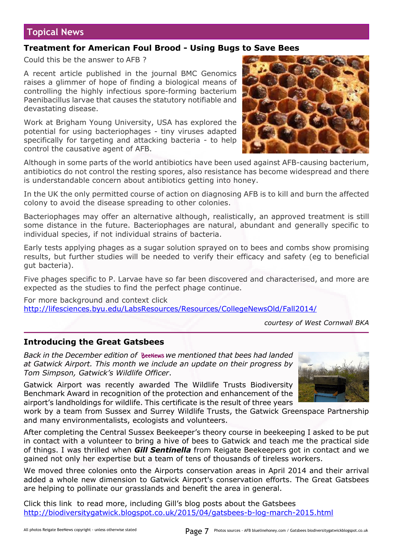## **Topical News**

## **Treatment for American Foul Brood - Using Bugs to Save Bees**

Could this be the answer to AFB ?

A recent article published in the journal BMC Genomics raises a glimmer of hope of finding a biological means of controlling the highly infectious spore-forming bacterium Paenibacillus larvae that causes the statutory notifiable and devastating disease.

Work at Brigham Young University, USA has explored the potential for using bacteriophages - tiny viruses adapted specifically for targeting and attacking bacteria - to help control the causative agent of AFB.



In the UK the only permitted course of action on diagnosing AFB is to kill and burn the affected colony to avoid the disease spreading to other colonies.

Bacteriophages may offer an alternative although, realistically, an approved treatment is still some distance in the future. Bacteriophages are natural, abundant and generally specific to individual species, if not individual strains of bacteria.

Early tests applying phages as a sugar solution sprayed on to bees and combs show promising results, but further studies will be needed to verify their efficacy and safety (eg to beneficial gut bacteria).

Five phages specific to P. Larvae have so far been discovered and characterised, and more are expected as the studies to find the perfect phage continue.

For more background and context click <http://lifesciences.byu.edu/LabsResources/Resources/CollegeNewsOld/Fall2014/>

*courtesy of West Cornwall BKA*

## **Introducing the Great Gatsbees**

*Back in the December edition of we mentioned that bees had landed at Gatwick Airport. This month we include an update on their progress by Tom Simpson, Gatwick's Wildlife Officer*.

Gatwick Airport was recently awarded The Wildlife Trusts Biodiversity Benchmark Award in recognition of the protection and enhancement of the airport's landholdings for wildlife. This certificate is the result of three years



work by a team from Sussex and Surrey Wildlife Trusts, the Gatwick Greenspace Partnership and many environmentalists, ecologists and volunteers.

After completing the Central Sussex Beekeeper's theory course in beekeeping I asked to be put in contact with a volunteer to bring a hive of bees to Gatwick and teach me the practical side of things. I was thrilled when *Gill Sentinella* from Reigate Beekeepers got in contact and we gained not only her expertise but a team of tens of thousands of tireless workers.

We moved three colonies onto the Airports conservation areas in April 2014 and their arrival added a whole new dimension to Gatwick Airport's conservation efforts. The Great Gatsbees are helping to pollinate our grasslands and benefit the area in general.

Click this link to read more, including Gill's blog posts about the Gatsbees <http://biodiversitygatwick.blogspot.co.uk/2015/04/gatsbees-b-log-march-2015.html>

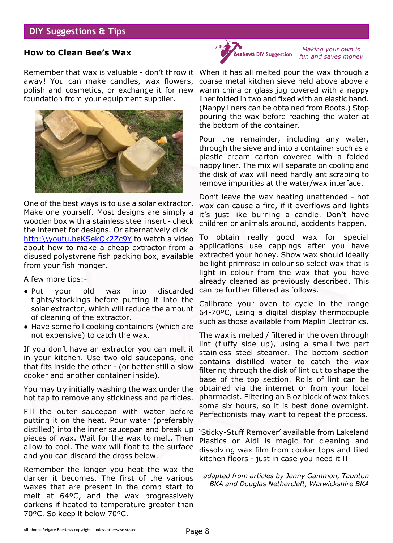## **DIY Suggestions & Tips**

## **How to Clean Bee's Wax**

Remember that wax is valuable - don't throw it When it has all melted pour the wax through a away! You can make candles, wax flowers, coarse metal kitchen sieve held above above a polish and cosmetics, or exchange it for new warm china or glass jug covered with a nappy foundation from your equipment supplier.



One of the best ways is to use a solar extractor. Make one yourself. Most designs are simply a wooden box with a stainless steel insert - check the internet for designs. Or alternatively click [http:\\youtu.beKSekQk2Zc9Y](https://www.youtube.com/watch?v=KSekQk2Zc9Y&feature=youtu.be) to watch a video about how to make a cheap extractor from a disused polystyrene fish packing box, available from your fish monger.

A few more tips:-

- Put your old wax into discarded tights/stockings before putting it into the solar extractor, which will reduce the amount of cleaning of the extractor.
- Have some foil cooking containers (which are not expensive) to catch the wax.

If you don't have an extractor you can melt it in your kitchen. Use two old saucepans, one that fits inside the other - (or better still a slow cooker and another container inside).

You may try initially washing the wax under the hot tap to remove any stickiness and particles.

Fill the outer saucepan with water before putting it on the heat. Pour water (preferably distilled) into the inner saucepan and break up pieces of wax. Wait for the wax to melt. Then allow to cool. The wax will float to the surface and you can discard the dross below.

Remember the longer you heat the wax the darker it becomes. The first of the various waxes that are present in the comb start to melt at 64ºC, and the wax progressively darkens if heated to temperature greater than 70ºC. So keep it below 70ºC.



*Making your own is fun and saves money*

liner folded in two and fixed with an elastic band. (Nappy liners can be obtained from Boots.) Stop pouring the wax before reaching the water at the bottom of the container.

Pour the remainder, including any water, through the sieve and into a container such as a plastic cream carton covered with a folded nappy liner. The mix will separate on cooling and the disk of wax will need hardly ant scraping to remove impurities at the water/wax interface.

Don't leave the wax heating unattended - hot wax can cause a fire, if it overflows and lights it's just like burning a candle. Don't have children or animals around, accidents happen.

To obtain really good wax for special applications use cappings after you have extracted your honey. Show wax should ideally be light primrose in colour so select wax that is light in colour from the wax that you have already cleaned as previously described. This can be further filtered as follows.

Calibrate your oven to cycle in the range 64-70ºC, using a digital display thermocouple such as those available from Maplin Electronics.

The wax is melted / filtered in the oven through lint (fluffy side up), using a small two part stainless steel steamer. The bottom section contains distilled water to catch the wax filtering through the disk of lint cut to shape the base of the top section. Rolls of lint can be obtained via the internet or from your local pharmacist. Filtering an 8 oz block of wax takes some six hours, so it is best done overnight. Perfectionists may want to repeat the process.

'Sticky-Stuff Remover' available from Lakeland Plastics or Aldi is magic for cleaning and dissolving wax film from cooker tops and tiled kitchen floors - just in case you need it !!

*adapted from articles by Jenny Gammon, Taunton BKA and Douglas Nethercleft, Warwickshire BKA*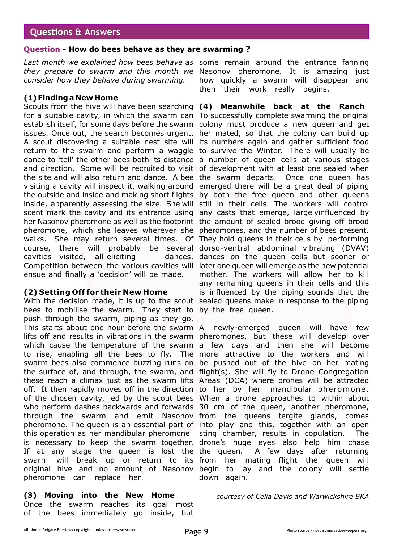## **Questions & Answers**

### **Question - How do bees behave as they are swarming ?**

*Last month we explained how bees behave as* some remain around the entrance fanning *they prepare to swarm and this month we* Nasonov pheromone. It is amazing just *consider how they behave during swarming.*

## **(1) Finding a New Home**

Scouts from the hive will have been searching **(4) Meanwhile back at the Ranch** for a suitable cavity, in which the swarm can To successfully complete swarming the original establish itself, for some days before the swarm colony must produce a new queen and get issues. Once out, the search becomes urgent. her mated, so that the colony can build up A scout discovering a suitable nest site will its numbers again and gather sufficient food return to the swarm and perform a waggle to survive the Winter. There will usually be dance to 'tell' the other bees both its distance a number of queen cells at various stages and direction. Some will be recruited to visit of development with at least one sealed when the site and will also return and dance. A bee the swarm departs. Once one queen has visiting a cavity will inspect it, walking around emerged there will be a great deal of piping the outside and inside and making short flights by both the free queen and other queens inside, apparently assessing the size. She will still in their cells. The workers will control scent mark the cavity and its entrance using any casts that emerge, largelyinfluenced by her Nasonov pheromone as well as the footprint the amount of sealed brood giving off brood pheromone, which she leaves wherever she pheromones, and the number of bees present. walks. She may return several times. Of They hold queens in their cells by performing course, there will probably be several dorso-ventral abdominal vibrating (DVAV) cavities visited, all eliciting Competition between the various cavities will later one queen will emerge as the new potential ensue and finally a 'decision' will be made.

## **(2) Setting Off for their New Home**

With the decision made, it is up to the scout sealed queens make in response to the piping bees to mobilise the swarm. They start to by the free queen. push through the swarm, piping as they go. This starts about one hour before the swarm A newly-emerged queen will have few lifts off and results in vibrations in the swarm pheromones, but these will develop over which cause the temperature of the swarm a few days and then she will become to rise, enabling all the bees to fly. The more attractive to the workers and will swarm bees also commence buzzing runs on be pushed out of the hive on her mating the surface of, and through, the swarm, and flight(s). She will fly to Drone Congregation these reach a climax just as the swarm lifts Areas (DCA) where drones will be attracted off. It then rapidly moves off in the direction to her by her mandibular pheromone . of the chosen cavity, led by the scout bees When a drone approaches to within about who perform dashes backwards and forwards 30 cm of the queen, another pheromone, through the swarm and emit Nasonov from the queens tergite glands, comes pheromone. The queen is an essential part of into play and this, together with an open this operation as her mandibular pheromone is necessary to keep the swarm together. drone's huge eyes also help him chase If at any stage the queen is lost the the queen. A few days after returning swarm will break up or return to its from her mating flight the queen will original hive and no amount of Nasonov begin to lay and the colony will settle pheromone can replace her.

## **(3) Moving into the New Home**

Once the swarm reaches its goal most of the bees immediately go inside, but

how quickly a swarm will disappear and then their work really begins.

dances on the queen cells but sooner or mother. The workers will allow her to kill any remaining queens in their cells and this is influenced by the piping sounds that the

> sting chamber, results in copulation. The down again.

*courtesy of Celia Davis and Warwickshire BKA*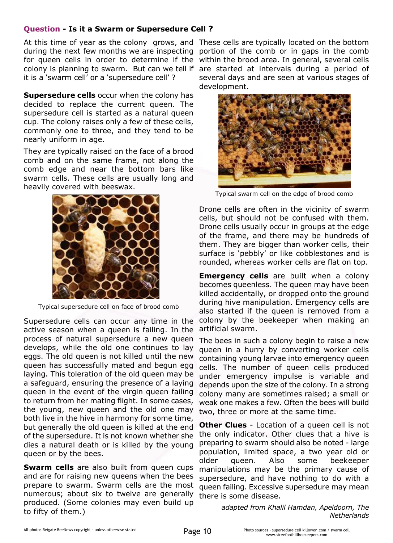## **Question - Is it a Swarm or Supersedure Cell ?**

At this time of year as the colony grows, and These cells are typically located on the bottom during the next few months we are inspecting portion of the comb or in gaps in the comb for queen cells in order to determine if the within the brood area. In general, several cells colony is planning to swarm. But can we tell if are started at intervals during a period of it is a 'swarm cell' or a 'supersedure cell' ?

**Supersedure cells** occur when the colony has decided to replace the current queen. The supersedure cell is started as a natural queen cup. The colony raises only a few of these cells, commonly one to three, and they tend to be nearly uniform in age.

They are typically raised on the face of a brood comb and on the same frame, not along the comb edge and near the bottom bars like swarm cells. These cells are usually long and heavily covered with beeswax.



Typical supersedure cell on face of brood comb

Supersedure cells can occur any time in the active season when a queen is failing. In the process of natural supersedure a new queen develops, while the old one continues to lay eggs. The old queen is not killed until the new queen has successfully mated and begun egg laying. This toleration of the old queen may be a safeguard, ensuring the presence of a laying queen in the event of the virgin queen failing to return from her mating flight. In some cases, the young, new queen and the old one may both live in the hive in harmony for some time, but generally the old queen is killed at the end of the supersedure. It is not known whether she dies a natural death or is killed by the young queen or by the bees.

**Swarm cells** are also built from queen cups and are for raising new queens when the bees prepare to swarm. Swarm cells are the most numerous; about six to twelve are generally produced. (Some colonies may even build up to fifty of them.)

several days and are seen at various stages of development.



Typical swarm cell on the edge of brood comb

Drone cells are often in the vicinity of swarm cells, but should not be confused with them. Drone cells usually occur in groups at the edge of the frame, and there may be hundreds of them. They are bigger than worker cells, their surface is 'pebbly' or like cobblestones and is rounded, whereas worker cells are flat on top.

**Emergency cells** are built when a colony becomes queenless. The queen may have been killed accidentally, or dropped onto the ground during hive manipulation. Emergency cells are also started if the queen is removed from a colony by the beekeeper when making an artificial swarm.

The bees in such a colony begin to raise a new queen in a hurry by converting worker cells containing young larvae into emergency queen cells. The number of queen cells produced under emergency impulse is variable and depends upon the size of the colony. In a strong colony many are sometimes raised; a small or weak one makes a few. Often the bees will build two, three or more at the same time.

**Other Clues** - Location of a queen cell is not the only indicator. Other clues that a hive is preparing to swarm should also be noted - large population, limited space, a two year old or older queen. Also some beekeeper manipulations may be the primary cause of supersedure, and have nothing to do with a queen failing. Excessive supersedure may mean there is some disease.

> *adapted from Khalil Hamdan, Apeldoorn, The Netherlands*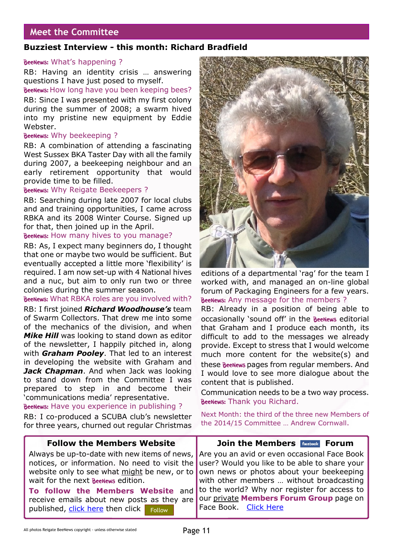## **Meet the Committee**

## **Buzziest Interview - this month: Richard Bradfield**

### BeeNews: What's happening ?

RB: Having an identity crisis … answering questions I have just posed to myself.

BeeNews: How long have you been keeping bees?

RB: Since I was presented with my first colony during the summer of 2008; a swarm hived into my pristine new equipment by Eddie Webster.

### BeeNews: Why beekeeping ?

RB: A combination of attending a fascinating West Sussex BKA Taster Day with all the family during 2007, a beekeeping neighbour and an early retirement opportunity that would provide time to be filled.

### BeeNews: Why Reigate Beekeepers ?

RB: Searching during late 2007 for local clubs and and training opportunities, I came across RBKA and its 2008 Winter Course. Signed up for that, then joined up in the April.

### BeeNews: How many hives to you manage?

RB: As, I expect many beginners do, I thought that one or maybe two would be sufficient. But eventually accepted a little more 'flexibility' is required. I am now set-up with 4 National hives and a nuc, but aim to only run two or three colonies during the summer season.

### BeeNews: What RBKA roles are you involved with?

RB: I first joined *Richard Woodhouse's* team of Swarm Collectors. That drew me into some of the mechanics of the division, and when *Mike Hill* was looking to stand down as editor of the newsletter, I happily pitched in, along with *Graham Pooley*. That led to an interest in developing the website with Graham and *Jack Chapman*. And when Jack was looking to stand down from the Committee I was prepared to step in and become their 'communications media' representative.

BeeNews: Have you experience in publishing ?

RB: I co-produced a SCUBA club's newsletter for three years, churned out regular Christmas



editions of a departmental 'rag' for the team I worked with, and managed an on-line global forum of Packaging Engineers for a few years. BeeNews: Any message for the members ?

RB: Already in a position of being able to occasionally 'sound off' in the BeeNews editorial that Graham and I produce each month, its difficult to add to the messages we already provide. Except to stress that I would welcome much more content for the website(s) and these **BeeNews** pages from regular members. And I would love to see more dialogue about the content that is published.

Communication needs to be a two way process. BeeNews: Thank you Richard.

Next Month: the third of the three new Members of the 2014/15 Committee … Andrew Cornwall.

| <b>Follow the Members Website</b>                                                                                                                                                                                                 | <b>Join the Members Facebook Forum</b>                                                                                                |
|-----------------------------------------------------------------------------------------------------------------------------------------------------------------------------------------------------------------------------------|---------------------------------------------------------------------------------------------------------------------------------------|
| notices, or information. No need to visit the user? Would you like to be able to share your<br>website only to see what might be new, or to own news or photos about your beekeeping<br>wait for the next <b>BeeNews</b> edition. | Always be up-to-date with new items of news, Are you an avid or even occasional Face Book<br>with other members  without broadcasting |
| To follow the Members Website and to the world? Why nor register for access to<br>receive emails about new posts as they are our private Members Forum Group page on<br>published, click here then click Follow                   | Face Book. Click Here                                                                                                                 |